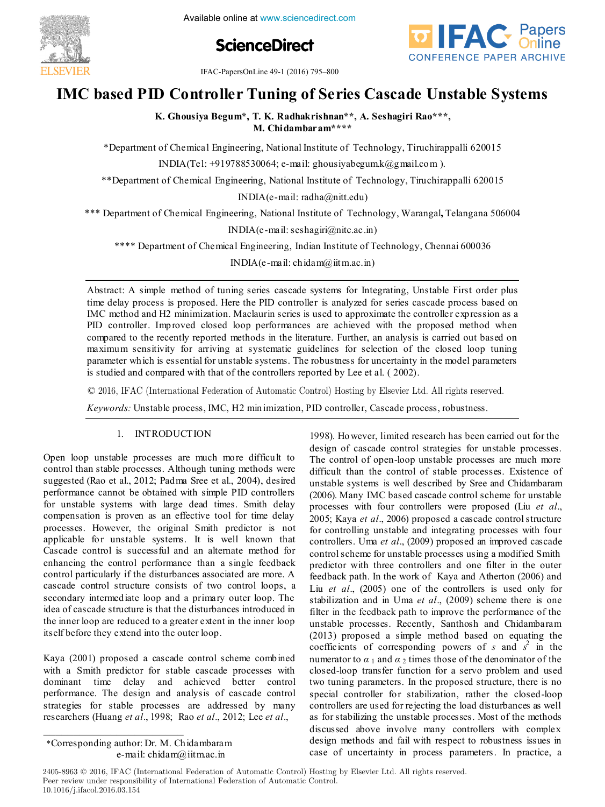

**ScienceDirect**



IFAC-PapersOnLine 49-1 (2016) 795–800

# **IMC based PID Controller Tuning of Series Cascade Unstable Systems IMC based PID Controller Tuning of Series Cascade Unstable Systems IMC based PID Controller Tuning of Series Cascade Unstable Systems IMC based PID Controller Tuning of Series Cascade Unstable Systems IMC based PID Controller Tuning of Series Cascade Unstable Systems**

K. Ghousiya Begum\*, T. K. Radhakrishnan\*\*, A. Seshagiri Rao\*\*\*, <sup>th</sup>, M. Ghousiya Begum, T. K. Radhakrishnan (A. Seshagiri Rao \*\*, \*)

\*Department of Chemical Engineering, National Institute of Technology, Tiruchirappalli 620015 **M. Chidambaram\*\*\*\*** \*Department of Chemical Engineering, National Institute of Technology, Tiruchirappalli 620015

INDIA(Tel: +919788530064; e-mail: ghousiyabegum.k@gmail.com ).  $\frac{1}{2}$   $\frac{1}{2}$   $\frac{1}{2}$   $\frac{1}{2}$   $\frac{1}{2}$   $\frac{1}{2}$   $\frac{1}{2}$   $\frac{1}{2}$   $\frac{1}{2}$   $\frac{1}{2}$   $\frac{1}{2}$   $\frac{1}{2}$   $\frac{1}{2}$   $\frac{1}{2}$   $\frac{1}{2}$   $\frac{1}{2}$   $\frac{1}{2}$   $\frac{1}{2}$   $\frac{1}{2}$   $\frac{1}{2}$   $\frac{1}{2}$   $\frac{1}{2}$ 

\*\*Department of Chemical Engineering, National Institute of Technology, Tiruchirappalli 620015 INDIA(TELESTATION), e-mail: ghousiyabegum.gom Ogmail.com ).  $\mathbf{F}_{\mathbf{r}}$ . National Institute of  $\mathbf{F}_{\mathbf{r}}$ ,  $\mathbf{F}_{\mathbf{r}}$  is the Technology, Tiruchirappalli 62015

 $\liminf_{k \to \infty}$  mail:  $\liminf_{k \to \infty}$  $\limsup_{k \to \infty}$ INDIA(e-mail: radha@nitt.edu)

\*\*\* Department of Chemical Engineering, National Institute of Technology, Warangal, Telangana 506004 India<br>India National Institute of Tech \*\*\* Department of Chemical Engineering, National Institute of Technology, Warangal**,** Telangana 506004

 $I_{\text{I}}(c_{\text{I}})$  mail: seshagiri@nitc.ac.in) INDIA(e-mail: seshagiri@nitc.ac.in)

\*\*\*\* Department of Chemical Engineering, Indian Institute of Technology, Chennai 600036  $\sum_{i=1}^{n}$ \*\*\*\* Department of Chemical Engineering, Indian Institute of Technology, Chennai 600036  $\mathsf{I}_\mathsf{a}$ l Engineering Indian Institute of T

 $INDIA(e-mail: chidam@iitm.ac.in)$  $\text{INDI4}(e\text{-}\text{maj} \cdot \text{chida} \, m\hat{a})$  it m ac in) INDIA(e-mail: chidam@iitm.ac.in)

time delay process is proposed. Here the PID controller is analyzed for series cascade process based on time delay process is proposed. Here the PID controller is analyzed for series cascade process based on<br>IMC method and H2 minimization. Maclaurin series is used to approximate the controller expression as a<br>PID controller. PID controller. Improved closed loop performances are achieved with the proposed method when compared to the recently reported methods in the literature. Further, an analysis is carried out based on compared to the recently reported methods in the literature. Further, an analysis is carried out based on<br>maximum sensitivity for arriving at systematic guidelines for selection of the closed loop tuning<br>parameter which is parameter which is essential for unstable systems. The robustness for uncertainty in the model parameters parameter which is essential for unit  $\mathbf{r}$  is essential for uncertainty in the model parameters is estimated by  $\mathbf{r}$  and  $\mathbf{r}$  and  $\mathbf{r}$  and  $\mathbf{r}$  and  $\mathbf{r}$  and  $\mathbf{r}$  and  $\mathbf{r}$  and  $\mathbf{r}$  and is studied and compared with that of the controllers reported by Lee et al. ( 2002). Abstract: A simple method of tuning series cascade systems for Integrating, Unstable First order plus is studied and compared with that of the controllers reported by Lee et al. (2002).

 $\odot$  2016, IFAC (International Federation of Automatic Control) Hosting by Elsevier Ltd. All rights reserved.  $\frac{1}{2}$  for unstable systems. The robustness for uncertainty in the model parameters for uncertainty in the model parameters for uncertainty in the model parameters for uncertainty in the model parameters  $\frac{1}{2}$ © 2016, IFAC (International Federation of Automatic Control) Hosting by Elsevier Ltd. All rights reser  $\approx$  2010, IFAC (International Pederation of Automatic Control) Hosting by Elsevier Etd. All rights reser  $\odot$  2016 IFAC (International Ecderation of Automatic Centrol) Heeting by Fleevier L

*Keywords:* Unstable process, IMC, H2 minimization, PID controller, Cascade process, robustness. *Keywords:* Unstable process, IMC, H2 minimization, PID controller, Cascade process, robustness.

# 1. INTRODUCTION 1. INTRODUCTION 1. INTRODUCTION 1. INTRODUCTION

Open loop unstable processes are much more difficult to control than stable processes. Although tuning methods were suggested (Rao et al., 2012; Padma Sree et al., 2004), desired performance cannot be obtained with simple PID controllers for unstable systems with large dead times. Smith delay compensation is proven as an effective tool for time delay processes. However, the original Smith predictor is not applicable for unstable systems. It is well known that Cascade control is successful and an alternate method for enhancing the control performance than a single feedback control particularly if the disturbances associated are more. A cascade control structure consists of two control loops, a secondary intermediate loop and a primary outer loop. The<br>idea of cascade structure is that the disturbances introduced in idea of cascade structure is that the disturbances introduced in the inner loop are reduced to a greater extent in the inner loop the mner loop are reduced to a greater extent in the inner loop<br>itself before they extend into the outer loop. Open loop unstable processes are much more difficult to control than stable processes. Although tuning methods were control than stable processes. Although tuning methods were Open loop unstable processes are much more difficult to suggested (Rao et al., 2012; Padma Sree et al., 2004), desired suggested (Rao et al., 2012; Padma Sree et al., 2004), desired control than stable processes. Although tuning methods were performance cannot be obtained with simple PID controllers for unstable systems with large dead times. Smith delay compensation is proven as an effective tool for time delay compensation is proven as an effective tool for time delay for unstable systems with large dead times. Smith delay applicable for unstable systems. It is well known that processes. However, the original Smith predictor is not applicable for unstable systems. It is well known that processes. However, the original Smith predictor is not Cascade control is successful and an alternate method for Cascade control is successful and an alternate method for applicable for unstable systems. It is well known that control particularly if the disturbances associated are more. A control particularly if the disturbances associated are more. A enhancing the control performance than a single feedback cascade control structure consists of two control loops, a cascade control structure consists of two control loops, a control particularly if the disturbances associated are more. A secondary intermediate loop and a primary outer loop. The idea of cascade structure is that the disturbances introduced in need of cascade structure is that the disturbances introduced in<br>the inner loop are reduced to a greater extent in the inner loop itself before they extend into the outer loop.

Kaya (2001) proposed a cascade control scheme combined Kaya (2001) proposed a cascade control scheme combined Kaya (2001) proposed a cascade control scheme combined with a Smith predictor for stable cascade processes with<br>dominant time delay and achieved better control dominant time delay and achieved better control performance. The design and analysis of cascade control strategies for stable processes are addressed by many researchers (Huang *et al.*, 1998; Rao *et al.*, 2012; Lee *et al.*, with a similar productor for static cascade processes with with a Smith predictor for stable cascade processes with<br>dominant time delay and achieved better control<br>performance. The design and analysis of cascade control researchers (Huang *et al*., 1998; Rao *et al*., 2012; Lee *et al*., researchers (Huang *et al.*, 1998; Rao *et al.*, 2012; Lee *et al.*, researchers (Huang *et al*., 1998; Rao *et al*., 2012; Lee *et al*.,

researchers (Huang *et al*., 1998; Rao *et al*., 2012; Lee *et al*.,

\*Corresponding author: Dr. M. Chidambaram \_\_\_\_\_\_\_\_\_\_\_\_\_\_\_\_\_\_\_\_\_\_\_ \*Corresponding author: Dr. M. Chidambaram e-mail: chidam@iitm.ac.in \*Corresponding author: Dr. M. Chidambaram  $\epsilon$ -mail: chidam $\omega$ itm.ac.in

 $\overline{\phantom{a}}$  , which is a set of the set of the set of the set of the set of the set of the set of the set of the set of the set of the set of the set of the set of the set of the set of the set of the set of the set of th

\_\_\_\_\_\_\_\_\_\_\_\_\_\_\_\_\_\_\_\_\_\_\_

1998). However, limited research has been carried out for the 1998). However, limited research has been carried out for the 1998). However, limited research has been carried out for the design of cascade control strategies for unstable processes. The control of open-loop unstable processes are much more difficult than the control of stable processes. Existence of unstable systems is well described by Sree and Chidambaram<br>(2006) Many IMC based cascade control scheme for unstable (2006). Many IMC based cascade control scheme for unstable processes with four controllers were proposed (Liu *et al.*, 2005; Kaya et al., 2006) proposed a cascade control structure for controlling unstable and integrating processes with four controllers. Uma et al., (2009) proposed an improved cascade controllers. One et al., (2005) proposed an improved easeder<br>control scheme for unstable processes using a modified Smith predictor with three controllers and one filter in the outer feedback path. In the work of Kaya and Atherton (2006) and Liu *et al.*, (2005) one of the controllers is used only for<br>the stabilization and in Uma *et al.* (2000) scheme there is one stabilization and in Uma *et al.*, (2009) scheme there is one filter in the feedback path to improve the performance of the unstable processes. Recently, Santhosh and Chidambaram  $(2013)$  proposed a simple method based on equating the coefficients of corresponding powers of  $s$  and  $s^2$  in the coefficients of corresponding powers of *s* and *s* in the numerator to  $\alpha_1$  and  $\alpha_2$  times those of the denominator of the runnerator to  $\alpha_1$  and  $\alpha_2$  times those of the deformator of the closed-loop transfer function for a servo problem and used two tuning parameters. In the proposed structure, there is no two tuning parameters. In the proposed structure, there is no<br>special controller for stabilization, rather the closed-loop<br>controllers are used for rejecting the load disturbances as well controllers are used for rejecting the load disturbances as well as for stabilizing the unstable processes. Most of the methods discussed above involve many controllers with complex<br>discussed above involve many controllers with complex design methods and fail with respect to robustness issues in case of uncertainty in process parameters. In practice, a The control of open-loop unstable processes are much more The control of open-loop unstable processes are much more design of cascade control strategies for unstable processes. difficult than the control of stable processes. Existence of difficult than the control of stable processes. Existence of The control of open-loop unstable processes are much more (2006). Many IMC based cascade control scheme for unstable unstable systems is well described by Sree and Chidambaram (2006). Many IMC based cascade control scheme for unstable processes with four controllers were proposed (Liu *et al*., processes with four controllers were proposed (Liu *et al*., (2006). Many IMC based cascade control scheme for unstable for controlling unstable and integrating processes with four for controlling unstable and integrating processes with four 2005; Kaya *et al*., 2006) proposed a cascade control structure controllers. Uma *et al*., (2009) proposed an improved cascade controllers. Uma *et al*., (2009) proposed an improved cascade for controlling unstable and integrating processes with four control scheme for unstable processes using a modified Smith predictor with three controllers and one filter in the outer feedback path. In the work of Kaya and Atherton (2006) and feedback path. In the work of Kaya and Atherton (2006) and predictor with three controllers and one filter in the outer stabilization and in Uma *et al*., (2009) scheme there is one Liu *et al*., (2005) one of the controllers is used only for stabilization and in Uma *et al*., (2009) scheme there is one stabilization and in Uma *et al.*, (2009) scheme there is one filter in the feedback path to improve the performance of the distance processes. Recently, Santhosh and Chiamparam (2013) proposed a simple method based on equating the coefficients of corresponding powers of  $s$  and  $s^2$  in the unstable processes. Recently, Santhosh and Chidambaram (2013) proposed a simple method based on equating the second contract the contract of corresponding proven of contract  $\epsilon^2$  in the two tuning parameters. In the proposed structure, there is no closed-loop transfer function for a servo problem and used special controller for stabilization, rather the closed-loop controllers are used for rejecting the load disturbances as well<br>as for stabilizing the unstable processes. Most of the methods discussed above involve many controllers with complex design methods and fail with respect to robustness issues in case of uncertainty in process parameters. In practice, a case of uncertainty in process parameters. In practice, a design methods and fail with respect to robustness issues in case of uncertainty in process parameters. In practice, a

2405-8963 © 2016, IFAC (International Federation of Automatic Control) Hosting by Elsevier Ltd. All rights reserved. Peer review under responsibility of International Federation of Automatic Control.<br> **10.1016/i** ifacel 2016.03.154 **10.1016/j.ifacol.2016.03.154**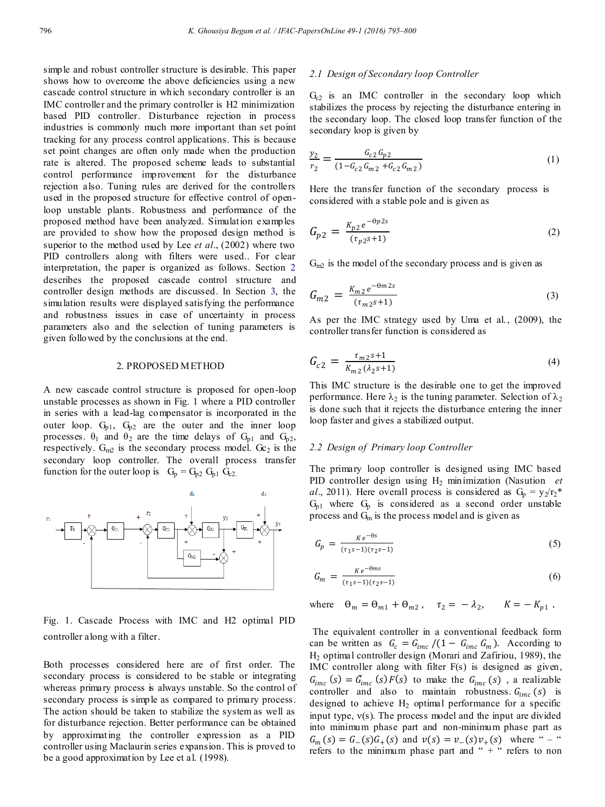simple and robust controller structure is desirable. This paper shows how to overcome the above deficiencies using a new cascade control structure in which secondary controller is an IMC controller and the primary controller is H2 minimization based PID controller. Disturbance rejection in process industries is commonly much more important than set point tracking for any process control applications. This is because set point changes are often only made when the production rate is altered. The proposed scheme leads to substantial control performance improvement for the disturbance rejection also. Tuning rules are derived for the controllers used in the proposed structure for effective control of openloop unstable plants. Robustness and performance of the proposed method have been analyzed. Simulation examples are provided to show how the proposed design method is superior to the method used by Lee *et al*., (2002) where two PID controllers along with filters were used.. For clear interpretation, the paper is organized as follows. Section 2 describes the proposed cascade control structure and controller design methods are discussed. In Section 3, the simulation results were displayed satisfying the performance and robustness issues in case of uncertainty in process parameters also and the selection of tuning parameters is given followed by the conclusions at the end.

#### 2. PROPOSED METHOD

A new cascade control structure is proposed for open-loop unstable processes as shown in Fig. 1 where a PID controller in series with a lead-lag compensator is incorporated in the outer loop.  $G_{p1}$ ,  $G_{p2}$  are the outer and the inner loop processes.  $\theta_1$  and  $\theta_2$  are the time delays of  $G_{p1}$  and  $G_{p2}$ , respectively.  $G_{m2}$  is the secondary process model.  $G_{c2}$  is the secondary loop controller. The overall process transfer function for the outer loop is  $G_p = G_{p2} G_{p1} G_{c2}$ .



Fig. 1. Cascade Process with IMC and H2 optimal PID controller along with a filter.

Both processes considered here are of first order. The secondary process is considered to be stable or integrating whereas primary process is always unstable. So the control of secondary process is simple as compared to primary process. The action should be taken to stabilize the system as well as for disturbance rejection. Better performance can be obtained by approximating the controller expression as a PID controller using Maclaurin series expansion. This is proved to be a good approximation by Lee et al. (1998).

#### *2.1 Design of Secondary loop Controller*

 $G<sub>c2</sub>$  is an IMC controller in the secondary loop which stabilizes the process by rejecting the disturbance entering in the secondary loop. The closed loop transfer function of the secondary loop is given by

$$
\frac{y_2}{r_2} = \frac{G_{c2} G_{p2}}{(1 - G_{c2} G_{m2} + G_{c2} G_{m2})}
$$
(1)

Here the transfer function of the secondary process is considered with a stable pole and is given as

$$
G_{p2} = \frac{K_{p2}e^{-\theta p2s}}{(\tau_{p2}s+1)}
$$
 (2)

 $G_{m2}$  is the model of the secondary process and is given as

$$
G_{m2} = \frac{K_{m2}e^{-\theta m 2s}}{(\tau_{m2}s+1)}
$$
(3)

As per the IMC strategy used by Uma et al., (2009), the controller transfer function is considered as

$$
G_{c2} = \frac{\tau_{m2}s + 1}{K_{m2}(\lambda_2s + 1)}
$$
\n(4)

This IMC structure is the desirable one to get the improved performance. Here  $\lambda_2$  is the tuning parameter. Selection of  $\lambda_2$ is done such that it rejects the disturbance entering the inner loop faster and gives a stabilized output.

# *2.2 Design of Primary loop Controller*

The primary loop controller is designed using IMC based PID controller design using H2 minimization (Nasution *et al.*, 2011). Here overall process is considered as  $G_p = y_2/r_2$ <sup>\*</sup>  $G_{p1}$  where  $G_p$  is considered as a second order unstable process and  $G<sub>m</sub>$  is the process model and is given as

$$
G_p = \frac{Ke^{-\theta s}}{(\tau_1 s - 1)(\tau_2 s - 1)}\tag{5}
$$

$$
G_m = \frac{Ke^{-\Theta ms}}{(\tau_1 s - 1)(\tau_2 s - 1)}\tag{6}
$$

where  $\Theta_m = \Theta_{m1} + \Theta_{m2}$ ,  $\tau_2 = -\lambda_2$ ,  $K = -K_{p1}$ .

The equivalent controller in a conventional feedback form can be written as  $G_c = G_{imc}/(1 - G_{imc} G_m)$ . According to H2 optimal controller design (Morari and Zafiriou, 1989), the IMC controller along with filter F(s) is designed as given,  $G_{inc}(s) = \tilde{G}_{inc}(s) F(s)$  to make the  $G_{inc}(s)$ , a realizable controller and also to maintain robustness.  $G_{inc}(s)$  is designed to achieve  $H_2$  optimal performance for a specific input type,  $v(s)$ . The process model and the input are divided into minimum phase part and non-minimum phase part as  $G_m(s) = G_{-}(s)G_{+}(s)$  and  $v(s) = v_{-}(s)v_{+}(s)$  where " – " refers to the minimum phase part and " $+$ " refers to non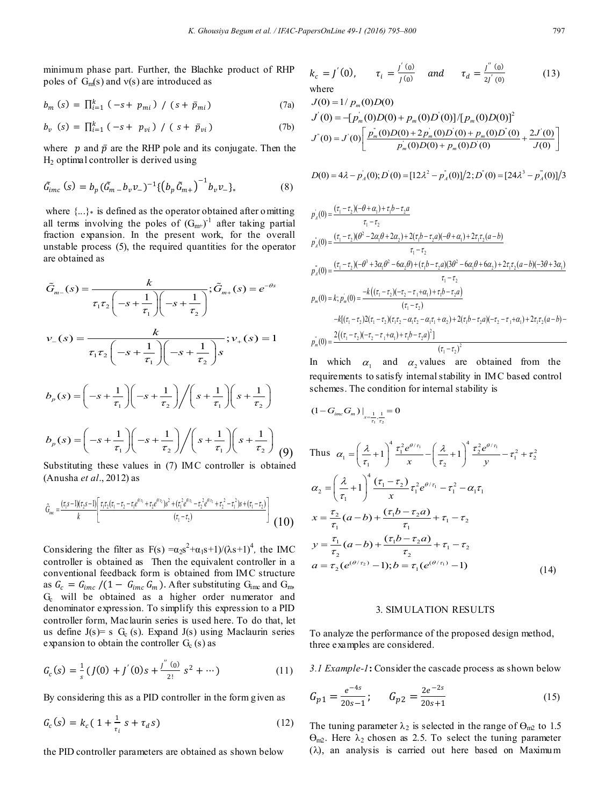minimum phase part. Further, the Blachke product of RHP poles of  $G_m(s)$  and  $v(s)$  are introduced as

$$
b_{m}(s) = \prod_{i=1}^{k} (-s + p_{mi}) / (s + \bar{p}_{mi})
$$
 (7a)

$$
b_v \ (s) = \prod_{i=1}^k (-s + p_{vi}) / (s + \bar{p}_{vi}) \tag{7b}
$$

where  $p$  and  $\bar{p}$  are the RHP pole and its conjugate. Then the H2 optimal controller is derived using

$$
\tilde{G}_{imc}(s) = b_p (\tilde{G}_{m} - b_v v_-)^{-1} \{ (b_p \tilde{G}_{m+})^{-1} b_v v_- \}, \tag{8}
$$

where  $\{...\}$  is defined as the operator obtained after omitting all terms involving the poles of  $(G_{m+})^{-1}$  after taking partial fraction expansion. In the present work, for the overall unstable process (5), the required quantities for the operator are obtained as

$$
\tilde{G}_{m-}(s) = \frac{k}{\tau_1 \tau_2 \left(-s + \frac{1}{\tau_1}\right)\left(-s + \frac{1}{\tau_2}\right)}; \tilde{G}_{m+}(s) = e^{-\theta s}
$$
\n
$$
v_{-}(s) = \frac{k}{\tau_1 \tau_2 \left(-s + \frac{1}{\tau_1}\right)\left(-s + \frac{1}{\tau_2}\right)s}; v_{+}(s) = 1
$$
\n
$$
b_p(s) = \left(-s + \frac{1}{\tau_1}\right)\left(-s + \frac{1}{\tau_2}\right)\left(s + \frac{1}{\tau_1}\right)\left(s + \frac{1}{\tau_2}\right)
$$
\n
$$
b_p(s) = \left(-s + \frac{1}{\tau_1}\right)\left(-s + \frac{1}{\tau_2}\right)\left(s + \frac{1}{\tau_1}\right)\left(s + \frac{1}{\tau_2}\right)
$$
\n
$$
(9)
$$

Substituting these values in (7) IMC controller is obtained (Anusha *et al*., 2012) as

$$
\tilde{G}_{\text{inc}} = \frac{(\tau_1 s - 1)(\tau_2 s - 1)}{k} \left[ \frac{\tau_1 \tau_2 (\tau_1 - \tau_2 - \tau_1 e^{\theta/\tau_1} + \tau_2 e^{\theta/\tau_2}) s^2 + (\tau_1^2 e^{\theta/\tau_1} - \tau_2^2 e^{\theta/\tau_2} + \tau_2^2 - \tau_1^2) s + (\tau_1 - \tau_2)}{(\tau_1 - \tau_2)} \right]
$$
(10)

Considering the filter as  $F(s) = \alpha_2 s^2 + \alpha_1 s + 1/(\lambda s + 1)^4$ , the IMC controller is obtained as Then the equivalent controller in a conventional feedback form is obtained from IMC structure as  $G_c = G_{imc}/(1 - G_{imc} G_m)$ . After substituting  $G_{imc}$  and  $G_{imc}$ G<sub>c</sub> will be obtained as a higher order numerator and denominator expression. To simplify this expression to a PID controller form, Maclaurin series is used here. To do that, let us define  $J(s)$ = s  $G_c$  (s). Expand  $J(s)$  using Maclaurin series expansion to obtain the controller  $G_c$  (s) as

$$
G_c(s) = \frac{1}{s} (J(0) + J'(0)s + \frac{J''(0)}{2!} s^2 + \cdots)
$$
 (11)

By considering this as a PID controller in the form given as

$$
G_c(s) = k_c (1 + \frac{1}{\tau_i} s + \tau_d s)
$$
 (12)

the PID controller parameters are obtained as shown below

$$
k_c = J'(0)
$$
,  $\tau_i = \frac{J'(0)}{J(0)}$  and  $\tau_d = \frac{J''(0)}{2J'(0)}$  (13)  
where

$$
J(0) = 1/p_m(0)D(0)
$$
  
\n
$$
J'(0) = -[p_m'(0)D(0) + p_m(0)D'(0)]/[p_m(0)D(0)]^2
$$
  
\n
$$
J'(0) = J'(0)\left[\frac{p_m(0)D(0) + 2p_m(0)D'(0) + p_m(0)D'(0)}{p_m(0)D(0) + p_m(0)D'(0)} + \frac{2J'(0)}{J(0)}\right]
$$

$$
D(0) = 4\lambda - p_A(0), D'(0) = [12\lambda^2 - p_A(0)]/2; D'(0) = [24\lambda^3 - p_A(0)]/3
$$

$$
p'_{A}(0) = \frac{(\tau_{1} - \tau_{2})(-\theta + \alpha_{1}) + \tau_{1}b - \tau_{2}a}{\tau_{1} - \tau_{2}}
$$
  
\n
$$
p'_{A}(0) = \frac{(\tau_{1} - \tau_{2})(\theta^{2} - 2\alpha_{1}\theta + 2\alpha_{2}) + 2(\tau_{1}b - \tau_{2}a)(-\theta + \alpha_{1}) + 2\tau_{1}\tau_{2}(a - b)}{\tau_{1} - \tau_{2}}
$$
  
\n
$$
p''_{A}(0) = \frac{(\tau_{1} - \tau_{2})(-\theta^{3} + 3\alpha_{1}\theta^{2} - 6\alpha_{2}\theta) + (\tau_{1}b - \tau_{2}a)(3\theta^{2} - 6\alpha_{1}\theta + 6\alpha_{2}) + 2\tau_{1}\tau_{2}(a - b)(-3\theta + 3\alpha_{1})}{\tau_{1} - \tau_{2}}
$$
  
\n
$$
p_{m}(0) = k; p'_{m}(0) = \frac{-k((\tau_{1} - \tau_{2})(-\tau_{2} - \tau_{1} + \alpha_{1}) + \tau_{1}b - \tau_{2}a)}{(\tau_{1} - \tau_{2})}
$$
  
\n
$$
-k[(\tau_{1} - \tau_{2})2(\tau_{1} - \tau_{2})(\tau_{1}\tau_{2} - \alpha_{1}\tau_{2} - \alpha_{1}\tau_{1} + \alpha_{2}) + 2(\tau_{1}b - \tau_{2}a)(-\tau_{2} - \tau_{1} + \alpha_{1}) + 2\tau_{1}\tau_{2}(a - b) - \frac{2((\tau_{1} - \tau_{2})(-\tau_{2} - \tau_{1} + \alpha_{1}) + \tau_{1}b - \tau_{2}a)^{2}]}{(\tau_{1} - \tau_{2})}
$$
  
\n
$$
p_{m}(0) = \frac{2((\tau_{1} - \tau_{2})(-\tau_{2} - \tau_{1} + \alpha_{1}) + \tau_{1}b - \tau_{2}a)^{2}]}{(\tau_{1} - \tau_{2})}
$$

In which  $\alpha_1$  and  $\alpha_2$  values are obtained from the requirements to satisfy internal stability in IMC based control schemes. The condition for internal stability is

1 2

$$
(1 - G_{im} G_m) \Big|_{s = \frac{1}{\tau_1} \cdot \frac{1}{\tau_2}} = 0
$$
  
\nThus  $\alpha_1 = \left(\frac{\lambda}{\tau_1} + 1\right) \frac{\tau_1^2 e^{\theta/\tau_1}}{x} - \left(\frac{\lambda}{\tau_2} + 1\right) \frac{\tau_2^2 e^{\theta/\tau_1}}{y} - \tau_1^2 + \tau_2^2$   
\n $\alpha_2 = \left(\frac{\lambda}{\tau_1} + 1\right) \frac{\tau_1^2}{x} \tau_1^2 e^{\theta/\tau_1} - \tau_1^2 - \alpha_1 \tau_1$   
\n $x = \frac{\tau_2}{\tau_1} (a - b) + \frac{(\tau_1 b - \tau_2 a)}{\tau_1} + \tau_1 - \tau_2$   
\n $y = \frac{\tau_1}{\tau_2} (a - b) + \frac{(\tau_1 b - \tau_2 a)}{\tau_2} + \tau_1 - \tau_2$   
\n $a = \tau_2 (e^{(\theta/\tau_2)} - 1); b = \tau_1 (e^{(\theta/\tau_1)} - 1)$  (14)

#### 3. SIMULATION RESULTS

To analyze the performance of the proposed design method, three examples are considered.

*3.1 Example-1***:** Consider the cascade process as shown below

$$
G_{p1} = \frac{e^{-4s}}{20s - 1}; \qquad G_{p2} = \frac{2e^{-2s}}{20s + 1}
$$
 (15)

The tuning parameter  $\lambda_2$  is selected in the range of  $\Theta_{m2}$  to 1.5  $\Theta_{m2}$ . Here  $\lambda_2$  chosen as 2.5. To select the tuning parameter  $(\lambda)$ , an analysis is carried out here based on Maximum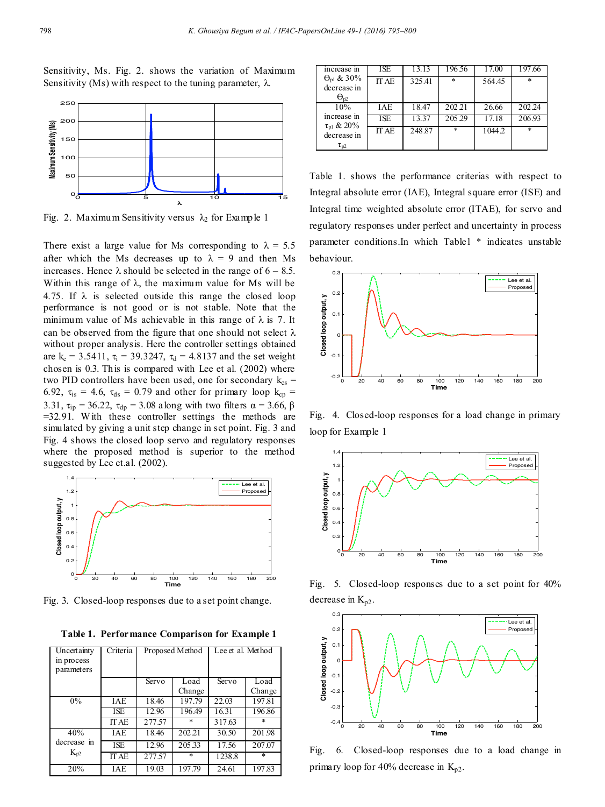Sensitivity, Ms. Fig. 2. shows the variation of Maximum Sensitivity (Ms) with respect to the tuning parameter,  $\lambda$ .



Fig. 2. Maximum Sensitivity versus  $\lambda_2$  for Example 1

There exist a large value for Ms corresponding to  $\lambda = 5.5$ after which the Ms decreases up to  $\lambda = 9$  and then Ms increases. Hence  $\lambda$  should be selected in the range of  $6 - 8.5$ . Within this range of  $\lambda$ , the maximum value for Ms will be 4.75. If  $\lambda$  is selected outside this range the closed loop performance is not good or is not stable. Note that the minimum value of Ms achievable in this range of  $\lambda$  is 7. It can be observed from the figure that one should not select  $\lambda$ without proper analysis. Here the controller settings obtained are k<sub>c</sub> = 3.5411,  $\tau_i$  = 39.3247,  $\tau_d$  = 4.8137 and the set weight chosen is 0.3. This is compared with Lee et al. (2002) where two PID controllers have been used, one for secondary  $k_{cs}$  = 6.92,  $\tau_{\text{is}} = 4.6$ ,  $\tau_{\text{ds}} = 0.79$  and other for primary loop  $k_{\text{cp}} =$ 3.31,  $\tau_{ip} = 36.22$ ,  $\tau_{dp} = 3.08$  along with two filters  $\alpha = 3.66$ ,  $\beta$ =32.91. W ith these controller settings the methods are simulated by giving a unit step change in set point. Fig. 3 and Fig. 4 shows the closed loop servo and regulatory responses where the proposed method is superior to the method suggested by Lee et.al. (2002).



Fig. 3. Closed-loop responses due to a set point change.

**Table 1. Performance Comparison for Example 1**

| Uncertainty<br>in process<br>parameters | Criteria     |        | Proposed Method | Lee et al. Method |        |
|-----------------------------------------|--------------|--------|-----------------|-------------------|--------|
|                                         |              | Servo  | Load            | Servo             | Load   |
|                                         |              |        | Change          |                   | Change |
| $0\%$                                   | <b>IAE</b>   | 18.46  | 197.79          | 22.03             | 197.81 |
|                                         | ISE          | 12.96  | 196.49          | 16.31             | 196.86 |
|                                         | <b>IT AE</b> | 277.57 | ¥               | 317.63            | $\ast$ |
| 40%                                     | IAE          | 18.46  | 202.21          | 30.50             | 201.98 |
| decrease in<br>$K_{p2}$                 | ISE          | 12.96  | 205.33          | 17.56             | 207.07 |
|                                         | <b>IT AE</b> | 277.57 | ÷               | 1238.8            | $\ast$ |
| 20%                                     | <b>IAE</b>   | 19.03  | 197.79          | 24.61             | 197.83 |

| increase in                         | ISE          |        | ! 96.56 |        |        |
|-------------------------------------|--------------|--------|---------|--------|--------|
| $\Theta_{\text{pl}}$ & 30%          | <b>ITAE</b>  | 325.41 | ÷       | 564.45 | $\ast$ |
| decrease in<br>$\Theta_{\text{p2}}$ |              |        |         |        |        |
| 10%                                 | IAE          | 18.47  | 202.21  | 26.66  | 202.24 |
| increase in                         | ISE          | 13.37  | 205.29  | 17.18  | 206.93 |
| $τ_{p1} & 20%$<br>decrease in       | <b>IT AE</b> | 248.87 | $\ast$  | 1044.2 | $\ast$ |
| $\tau_{p2}$                         |              |        |         |        |        |

Table 1. shows the performance criterias with respect to Integral absolute error (IAE), Integral square error (ISE) and Integral time weighted absolute error (ITAE), for servo and regulatory responses under perfect and uncertainty in process parameter conditions.In which Table1 \* indicates unstable behaviour.



Fig. 4. Closed-loop responses for a load change in primary loop for Example 1



Fig. 5. Closed-loop responses due to a set point for 40% decrease in  $K_{p2}$ .



Fig. 6. Closed-loop responses due to a load change in primary loop for 40% decrease in  $K_{p2}$ .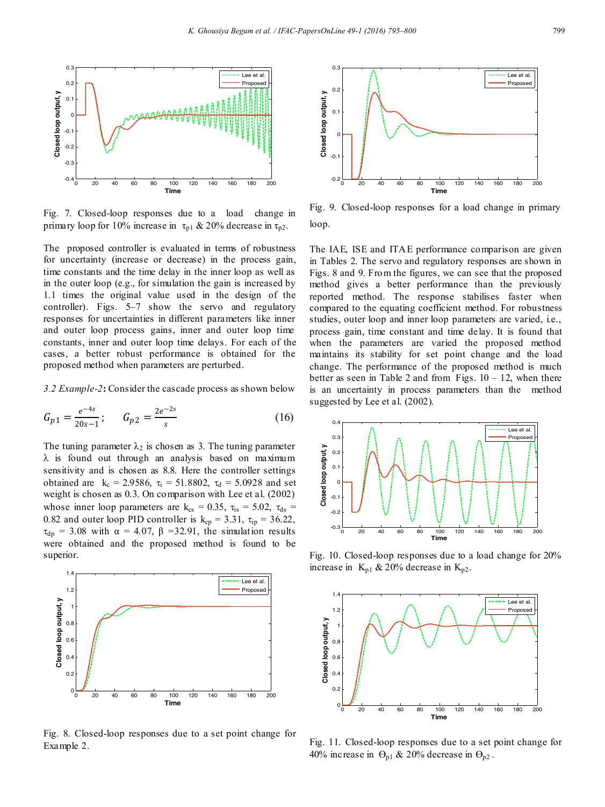

Fig. 7. Closed-loop responses due to a load change in primary loop for 10% increase in  $\tau_{p1} \& 20\%$  decrease in  $\tau_{p2}$ .

The proposed controller is evaluated in terms of robustness for uncertainty (increase or decrease) in the process gain, time constants and the time delay in the inner loop as well as in the outer loop (e.g., for simulation the gain is increased by 1.1 times the original value used in the design of the controller). Figs. 5–7 show the servo and regulatory responses for uncertainties in different parameters like inner and outer loop process gains, inner and outer loop time constants, inner and outer loop time delays. For each of the cases, a better robust performance is obtained for the proposed method when parameters are perturbed.

*3.2 Example-2***:** Consider the cascade process as shown below

$$
G_{p1} = \frac{e^{-4s}}{20s - 1}; \qquad G_{p2} = \frac{2e^{-2s}}{s} \tag{16}
$$

The tuning parameter  $\lambda_2$  is chosen as 3. The tuning parameter  $\lambda$  is found out through an analysis based on maximum sensitivity and is chosen as 8.8. Here the controller settings obtained are  $k_c = 2.9586$ ,  $\tau_i = 51.8802$ ,  $\tau_d = 5.0928$  and set weight is chosen as 0.3. On comparison with Lee et al. (2002) whose inner loop parameters are  $k_{cs} = 0.35$ ,  $\tau_{is} = 5.02$ ,  $\tau_{ds} =$ 0.82 and outer loop PID controller is  $k_{cp} = 3.31$ ,  $\tau_{ip} = 36.22$ ,  $\tau_{dp}$  = 3.08 with  $\alpha$  = 4.07,  $\beta$  = 32.91, the simulation results were obtained and the proposed method is found to be superior.



Fig. 8. Closed-loop responses due to a set point change for Example 2.



Fig. 9. Closed-loop responses for a load change in primary loop.

The IAE, ISE and ITAE performance comparison are given in Tables 2. The servo and regulatory responses are shown in Figs. 8 and 9. From the figures, we can see that the proposed method gives a better performance than the previously reported method. The response stabilises faster when compared to the equating coefficient method. For robustness studies, outer loop and inner loop parameters are varied, i.e., process gain, time constant and time delay. It is found that when the parameters are varied the proposed method maintains its stability for set point change and the load change. The performance of the proposed method is much better as seen in Table 2 and from Figs.  $10 - 12$ , when there is an uncertainty in process parameters than the method suggested by Lee et al. (2002).



Fig. 10. Closed-loop responses due to a load change for 20% increase in  $K_{p1}$  & 20% decrease in  $K_{p2}$ .



Fig. 11. Closed-loop responses due to a set point change for 40% increase in  $\Theta_{p1}$  & 20% decrease in  $\Theta_{p2}$ .